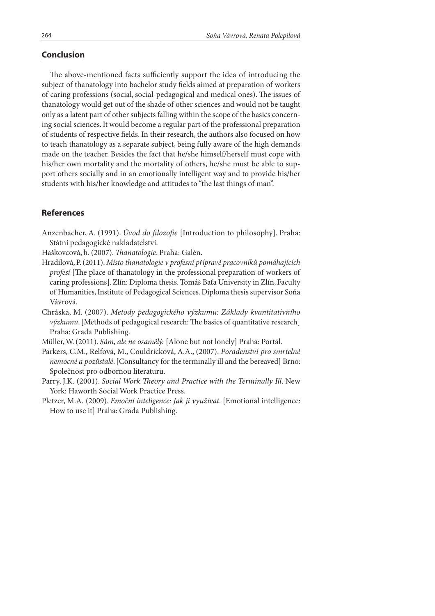## **Conclusion**

The above-mentioned facts sufficiently support the idea of introducing the subject of thanatology into bachelor study fields aimed at preparation of workers of caring professions (social, social-pedagogical and medical ones). The issues of thanatology would get out of the shade of other sciences and would not be taught only as a latent part of other subjects falling within the scope of the basics concerning social sciences. It would become a regular part of the professional preparation of students of respective fields. In their research, the authors also focused on how to teach thanatology as a separate subject, being fully aware of the high demands made on the teacher. Besides the fact that he/she himself/herself must cope with his/her own mortality and the mortality of others, he/she must be able to support others socially and in an emotionally intelligent way and to provide his/her students with his/her knowledge and attitudes to "the last things of man".

## **References**

Anzenbacher, A. (1991). Úvod do filozofie [Introduction to philosophy]. Praha: Státní pedagogické nakladatelství.

Haškovcová, h. (2007). Thanatologie. Praha: Galén.

- Hradilová, P. (2011). Místo thanatologie v profesní přípravě pracovníků pomáhajících profesí [The place of thanatology in the professional preparation of workers of caring professions]. Zlín: Diploma thesis. Tomáš Baťa University in Zlín, Faculty of Humanities, Institute of Pedagogical Sciences. Diploma thesis supervisor Soňa Vávrová.
- Chráska, M. (2007). Metody pedagogického výzkumu: Základy kvantitativního výzkumu. [Methods of pedagogical research: The basics of quantitative research] Praha: Grada Publishing.

Müller, W. (2011). Sám, ale ne osamělý. [Alone but not lonely] Praha: Portál.

- Parkers, C.M., Relfová, M., Couldricková, A.A., (2007). Poradenství pro smrtelně nemocné a pozůstalé. [Consultancy for the terminally ill and the bereaved] Brno: Společnost pro odbornou literaturu.
- Parry, J.K. (2001). Social Work Theory and Practice with the Terminally Ill. New York: Haworth Social Work Practice Press.
- Pletzer, M.A. (2009). Emoční inteligence: Jak ji využívat. [Emotional intelligence: How to use it] Praha: Grada Publishing.